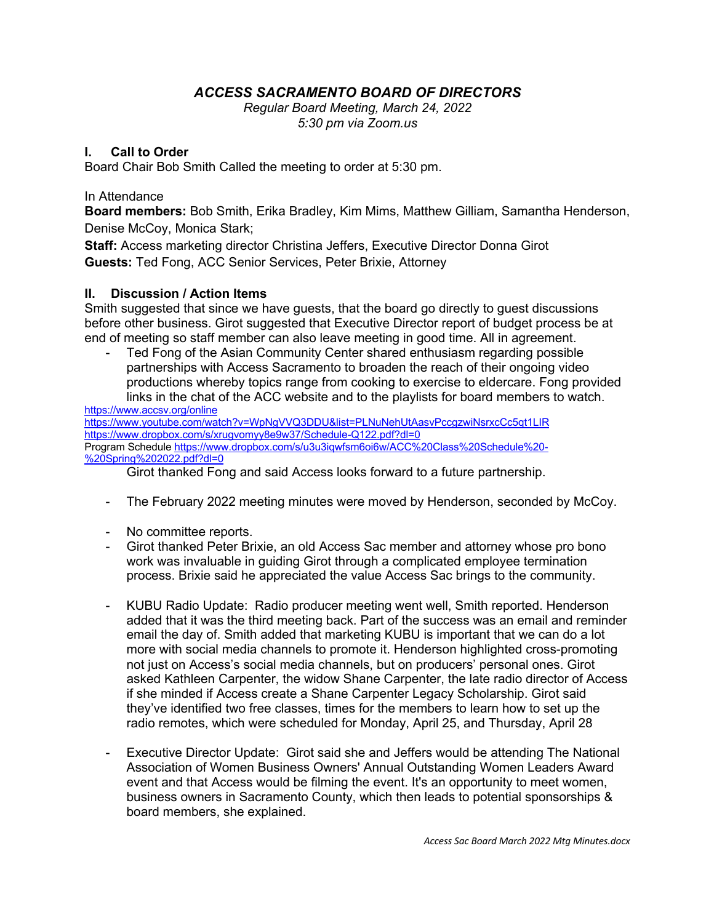## *ACCESS SACRAMENTO BOARD OF DIRECTORS*

*Regular Board Meeting, March 24, 2022 5:30 pm via Zoom.us*

## **I. Call to Order**

Board Chair Bob Smith Called the meeting to order at 5:30 pm.

## In Attendance

**Board members:** Bob Smith, Erika Bradley, Kim Mims, Matthew Gilliam, Samantha Henderson, Denise McCoy, Monica Stark;

**Staff:** Access marketing director Christina Jeffers, Executive Director Donna Girot **Guests:** Ted Fong, ACC Senior Services, Peter Brixie, Attorney

## **II. Discussion / Action Items**

Smith suggested that since we have guests, that the board go directly to guest discussions before other business. Girot suggested that Executive Director report of budget process be at end of meeting so staff member can also leave meeting in good time. All in agreement.

- Ted Fong of the Asian Community Center shared enthusiasm regarding possible partnerships with Access Sacramento to broaden the reach of their ongoing video productions whereby topics range from cooking to exercise to eldercare. Fong provided links in the chat of the ACC website and to the playlists for board members to watch.

https://www.accsv.org/online https://www.youtube.com/watch?v=WpNgVVQ3DDU&list=PLNuNehUtAasvPccgzwiNsrxcCc5qt1LIR https://www.dropbox.com/s/xrugvomyy8e9w37/Schedule-Q122.pdf?dl=0 Program Schedule https://www.dropbox.com/s/u3u3iqwfsm6oi6w/ACC%20Class%20Schedule%20- %20Spring%202022.pdf?dl=0

Girot thanked Fong and said Access looks forward to a future partnership.

- The February 2022 meeting minutes were moved by Henderson, seconded by McCoy.
- No committee reports.
- Girot thanked Peter Brixie, an old Access Sac member and attorney whose pro bono work was invaluable in guiding Girot through a complicated employee termination process. Brixie said he appreciated the value Access Sac brings to the community.
- KUBU Radio Update: Radio producer meeting went well, Smith reported. Henderson added that it was the third meeting back. Part of the success was an email and reminder email the day of. Smith added that marketing KUBU is important that we can do a lot more with social media channels to promote it. Henderson highlighted cross-promoting not just on Access's social media channels, but on producers' personal ones. Girot asked Kathleen Carpenter, the widow Shane Carpenter, the late radio director of Access if she minded if Access create a Shane Carpenter Legacy Scholarship. Girot said they've identified two free classes, times for the members to learn how to set up the radio remotes, which were scheduled for Monday, April 25, and Thursday, April 28
- Executive Director Update: Girot said she and Jeffers would be attending The National Association of Women Business Owners' Annual Outstanding Women Leaders Award event and that Access would be filming the event. It's an opportunity to meet women, business owners in Sacramento County, which then leads to potential sponsorships & board members, she explained.